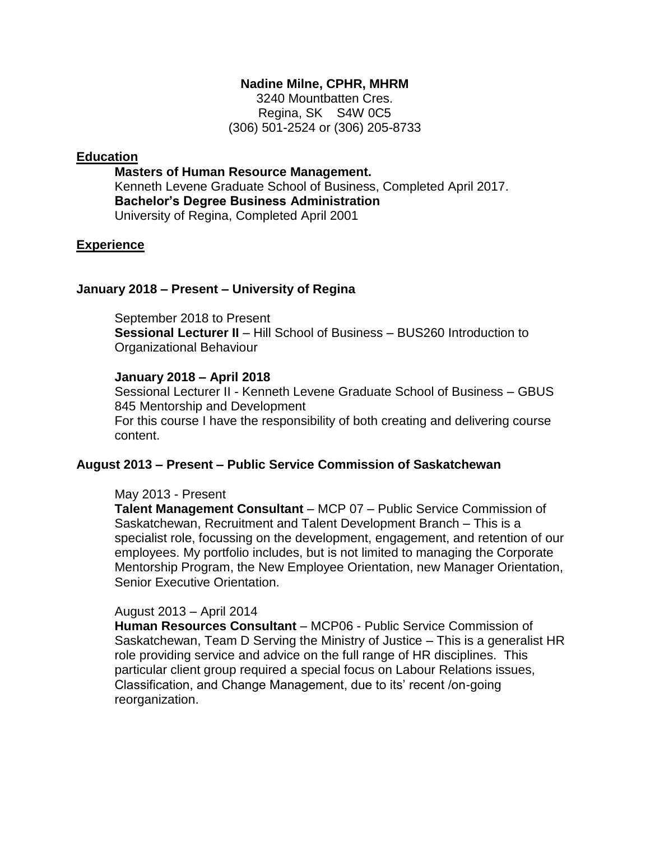## **Nadine Milne, CPHR, MHRM**

3240 Mountbatten Cres. Regina, SK S4W 0C5 (306) 501-2524 or (306) 205-8733

## **Education**

**Masters of Human Resource Management.** Kenneth Levene Graduate School of Business, Completed April 2017. **Bachelor's Degree Business Administration** University of Regina, Completed April 2001

## **Experience**

#### **January 2018 – Present – University of Regina**

September 2018 to Present **Sessional Lecturer II** – Hill School of Business – BUS260 Introduction to Organizational Behaviour

#### **January 2018 – April 2018**

Sessional Lecturer II - Kenneth Levene Graduate School of Business – GBUS 845 Mentorship and Development For this course I have the responsibility of both creating and delivering course content.

# **August 2013 – Present – Public Service Commission of Saskatchewan**

#### May 2013 - Present

**Talent Management Consultant** – MCP 07 – Public Service Commission of Saskatchewan, Recruitment and Talent Development Branch – This is a specialist role, focussing on the development, engagement, and retention of our employees. My portfolio includes, but is not limited to managing the Corporate Mentorship Program, the New Employee Orientation, new Manager Orientation, Senior Executive Orientation.

#### August 2013 – April 2014

**Human Resources Consultant** – MCP06 - Public Service Commission of Saskatchewan, Team D Serving the Ministry of Justice – This is a generalist HR role providing service and advice on the full range of HR disciplines. This particular client group required a special focus on Labour Relations issues, Classification, and Change Management, due to its' recent /on-going reorganization.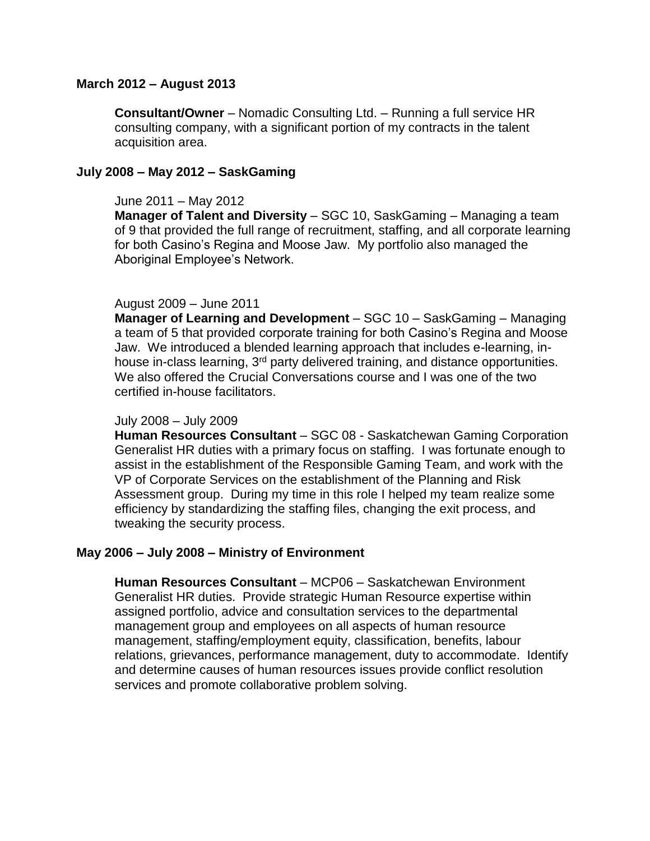## **March 2012 – August 2013**

**Consultant/Owner** – Nomadic Consulting Ltd. – Running a full service HR consulting company, with a significant portion of my contracts in the talent acquisition area.

#### **July 2008 – May 2012 – SaskGaming**

#### June 2011 – May 2012

**Manager of Talent and Diversity** – SGC 10, SaskGaming – Managing a team of 9 that provided the full range of recruitment, staffing, and all corporate learning for both Casino's Regina and Moose Jaw. My portfolio also managed the Aboriginal Employee's Network.

#### August 2009 – June 2011

**Manager of Learning and Development** – SGC 10 – SaskGaming – Managing a team of 5 that provided corporate training for both Casino's Regina and Moose Jaw. We introduced a blended learning approach that includes e-learning, inhouse in-class learning, 3<sup>rd</sup> party delivered training, and distance opportunities. We also offered the Crucial Conversations course and I was one of the two certified in-house facilitators.

#### July 2008 – July 2009

**Human Resources Consultant** – SGC 08 - Saskatchewan Gaming Corporation Generalist HR duties with a primary focus on staffing. I was fortunate enough to assist in the establishment of the Responsible Gaming Team, and work with the VP of Corporate Services on the establishment of the Planning and Risk Assessment group. During my time in this role I helped my team realize some efficiency by standardizing the staffing files, changing the exit process, and tweaking the security process.

## **May 2006 – July 2008 – Ministry of Environment**

**Human Resources Consultant** – MCP06 – Saskatchewan Environment Generalist HR duties. Provide strategic Human Resource expertise within assigned portfolio, advice and consultation services to the departmental management group and employees on all aspects of human resource management, staffing/employment equity, classification, benefits, labour relations, grievances, performance management, duty to accommodate. Identify and determine causes of human resources issues provide conflict resolution services and promote collaborative problem solving.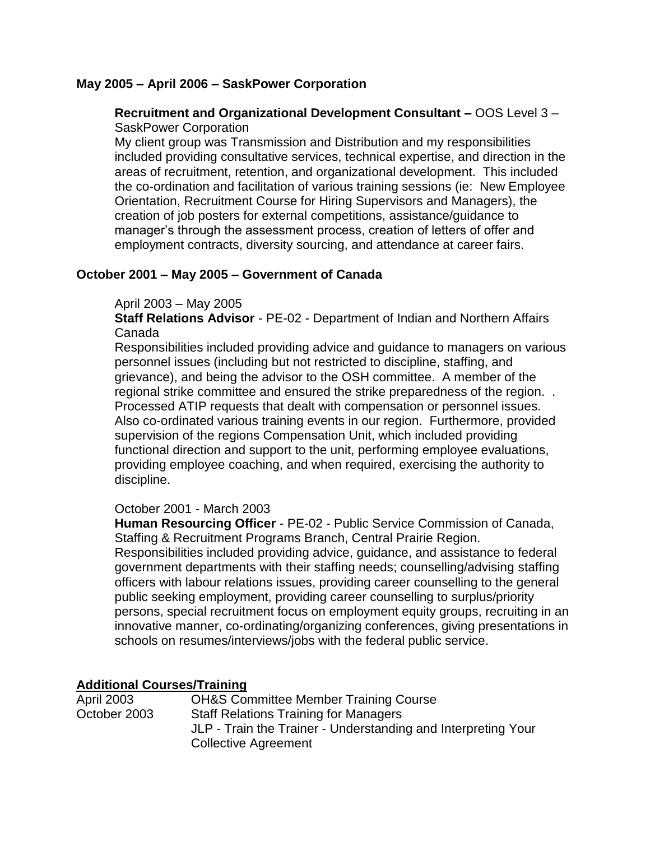## **May 2005 – April 2006 – SaskPower Corporation**

## **Recruitment and Organizational Development Consultant –** OOS Level 3 – SaskPower Corporation

My client group was Transmission and Distribution and my responsibilities included providing consultative services, technical expertise, and direction in the areas of recruitment, retention, and organizational development. This included the co-ordination and facilitation of various training sessions (ie: New Employee Orientation, Recruitment Course for Hiring Supervisors and Managers), the creation of job posters for external competitions, assistance/guidance to manager's through the assessment process, creation of letters of offer and employment contracts, diversity sourcing, and attendance at career fairs.

## **October 2001 – May 2005 – Government of Canada**

## April 2003 – May 2005

**Staff Relations Advisor** - PE-02 - Department of Indian and Northern Affairs Canada

Responsibilities included providing advice and guidance to managers on various personnel issues (including but not restricted to discipline, staffing, and grievance), and being the advisor to the OSH committee. A member of the regional strike committee and ensured the strike preparedness of the region. . Processed ATIP requests that dealt with compensation or personnel issues. Also co-ordinated various training events in our region. Furthermore, provided supervision of the regions Compensation Unit, which included providing functional direction and support to the unit, performing employee evaluations, providing employee coaching, and when required, exercising the authority to discipline.

## October 2001 - March 2003

**Human Resourcing Officer** - PE-02 - Public Service Commission of Canada, Staffing & Recruitment Programs Branch, Central Prairie Region.

Responsibilities included providing advice, guidance, and assistance to federal government departments with their staffing needs; counselling/advising staffing officers with labour relations issues, providing career counselling to the general public seeking employment, providing career counselling to surplus/priority persons, special recruitment focus on employment equity groups, recruiting in an innovative manner, co-ordinating/organizing conferences, giving presentations in schools on resumes/interviews/jobs with the federal public service.

## **Additional Courses/Training**

| <b>April 2003</b> | <b>OH&amp;S Committee Member Training Course</b>              |
|-------------------|---------------------------------------------------------------|
| October 2003      | <b>Staff Relations Training for Managers</b>                  |
|                   | JLP - Train the Trainer - Understanding and Interpreting Your |
|                   | <b>Collective Agreement</b>                                   |